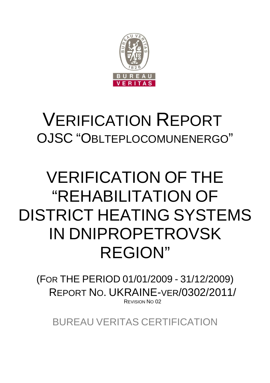

# VERIFICATION REPORT OJSC "OBLTEPLOCOMUNENERGO"

# VERIFICATION OF THE "REHABILITATION OF DISTRICT HEATING SYSTEMS IN DNIPROPETROVSK REGION"

(FOR THE PERIOD 01/01/2009 - 31/12/2009) REPORT NO. UKRAINE-VER/0302/2011/ REVISION NO 02

BUREAU VERITAS CERTIFICATION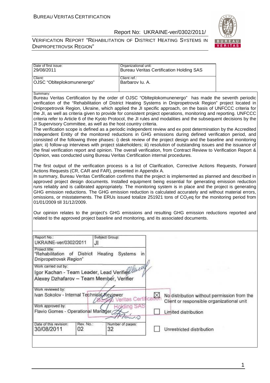

| 29/08/2011                                                                                                                                  | Organizational unit:<br><b>Bureau Veritas Certification Holding SAS</b>                                                                                                                                                                                                                                                                                                                                                                                                                                                                                                                                                                                                                                                                                                                                                                                                                                                                                                                                                                                                                                                                                                                                                                                                                                                                                                                                                                                                                                                                                                                                                                                                                                                     |                                             |
|---------------------------------------------------------------------------------------------------------------------------------------------|-----------------------------------------------------------------------------------------------------------------------------------------------------------------------------------------------------------------------------------------------------------------------------------------------------------------------------------------------------------------------------------------------------------------------------------------------------------------------------------------------------------------------------------------------------------------------------------------------------------------------------------------------------------------------------------------------------------------------------------------------------------------------------------------------------------------------------------------------------------------------------------------------------------------------------------------------------------------------------------------------------------------------------------------------------------------------------------------------------------------------------------------------------------------------------------------------------------------------------------------------------------------------------------------------------------------------------------------------------------------------------------------------------------------------------------------------------------------------------------------------------------------------------------------------------------------------------------------------------------------------------------------------------------------------------------------------------------------------------|---------------------------------------------|
| Client:<br>OJSC "Oblteplokomunenergo"                                                                                                       | Client ref.:<br>Barbarov lu. A.                                                                                                                                                                                                                                                                                                                                                                                                                                                                                                                                                                                                                                                                                                                                                                                                                                                                                                                                                                                                                                                                                                                                                                                                                                                                                                                                                                                                                                                                                                                                                                                                                                                                                             |                                             |
| Summary:<br>JI Supervisory Committee, as well as the host country criteria.<br>Actions Requests (CR, CAR and FAR), presented in Appendix A. | Bureau Veritas Certification by the order of OJSC "Oblteplokomunenergo" has made the seventh periodic<br>verification of the "Rehabilitation of District Heating Systems in Dnipropetrovsk Region" project located in<br>Dnipropetrovsk Region, Ukraine, which applied the JI specific approach, on the basis of UNFCCC criteria for<br>the JI, as well as criteria given to provide for consistent project operations, monitoring and reporting. UNFCCC<br>criteria refer to Article 6 of the Kyoto Protocol, the JI rules and modalities and the subsequent decisions by the<br>The verification scope is defined as a periodic independent review and ex post determination by the Accredited<br>Independent Entity of the monitored reductions in GHG emissions during defined verification period, and<br>consisted of the following three phases: i) desk review of the project design and the baseline and monitoring<br>plan; ii) follow-up interviews with project stakeholders; iii) resolution of outstanding issues and the issuance of<br>the final verification report and opinion. The overall verification, from Contract Review to Verification Report &<br>Opinion, was conducted using Bureau Veritas Certification internal procedures.<br>The first output of the verification process is a list of Clarification, Corrective Actions Requests, Forward<br>In summary, Bureau Veritas Certification confirms that the project is implemented as planned and described in<br>approved project design documents. Installed equipment being essential for generating emission reduction<br>runs reliably and is calibrated appropriately. The monitoring system is in place and the project is generating |                                             |
| GHG emission reductions. The GHG emission reduction is calculated accurately and without material errors,<br>01/01/2009 till 31/12/2009.    | omissions, or misstatements. The ERUs issued totalize 251921 tons of CO <sub>2</sub> eq for the monitoring period from<br>Our opinion relates to the project's GHG emissions and resulting GHG emission reductions reported and<br>related to the approved project baseline and monitoring, and its associated documents.                                                                                                                                                                                                                                                                                                                                                                                                                                                                                                                                                                                                                                                                                                                                                                                                                                                                                                                                                                                                                                                                                                                                                                                                                                                                                                                                                                                                   |                                             |
| Report No.:<br>Subject Group:<br>UKRAINE-ver/0302/2011<br>JI                                                                                |                                                                                                                                                                                                                                                                                                                                                                                                                                                                                                                                                                                                                                                                                                                                                                                                                                                                                                                                                                                                                                                                                                                                                                                                                                                                                                                                                                                                                                                                                                                                                                                                                                                                                                                             |                                             |
| Project title:<br>"Rehabilitation of District Heating<br>Dnipropetrovsk Region"                                                             | Systems<br>$\mathsf{in}$                                                                                                                                                                                                                                                                                                                                                                                                                                                                                                                                                                                                                                                                                                                                                                                                                                                                                                                                                                                                                                                                                                                                                                                                                                                                                                                                                                                                                                                                                                                                                                                                                                                                                                    |                                             |
| Work carried out by:<br>Igor Kachan - Team Leader, Lead Verifielle<br>Alexey Dzhafarov - Team Member, Verifier                              |                                                                                                                                                                                                                                                                                                                                                                                                                                                                                                                                                                                                                                                                                                                                                                                                                                                                                                                                                                                                                                                                                                                                                                                                                                                                                                                                                                                                                                                                                                                                                                                                                                                                                                                             |                                             |
| Work reviewed by:<br>Ivan Sokolov - Internal Technical Reviewer                                                                             |                                                                                                                                                                                                                                                                                                                                                                                                                                                                                                                                                                                                                                                                                                                                                                                                                                                                                                                                                                                                                                                                                                                                                                                                                                                                                                                                                                                                                                                                                                                                                                                                                                                                                                                             | No distribution without permission from the |
| Work approved by:<br>Flavio Gomes - Operational Manager                                                                                     | Veritas Certification<br>olding SAS<br>Limited distribution<br>tais                                                                                                                                                                                                                                                                                                                                                                                                                                                                                                                                                                                                                                                                                                                                                                                                                                                                                                                                                                                                                                                                                                                                                                                                                                                                                                                                                                                                                                                                                                                                                                                                                                                         | Client or responsible organizational unit   |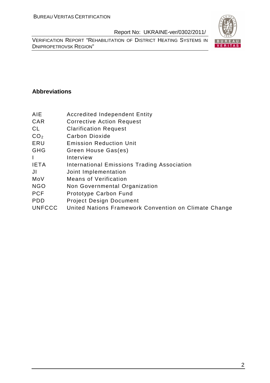VERIFICATION REPORT "REHABILITATION OF DISTRICT HEATING SYSTEMS IN DNIPROPETROVSK REGION"



# **Abbreviations**

- AIE Accredited Independent Entity
- CAR Corrective Action Request
- CL Clarification Request
- CO<sub>2</sub> Carbon Dioxide
- ERU Emission Reduction Unit
- GHG Green House Gas(es)
- I Interview
- IETA International Emissions Trading Association
- JI Joint Implementation
- MoV Means of Verification
- NGO Non Governmental Organization
- PCF Prototype Carbon Fund
- PDD Project Design Document
- UNFCCC United Nations Framework Convention on Climate Change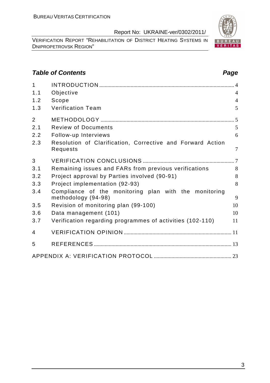VERIFICATION REPORT "REHABILITATION OF DISTRICT HEATING SYSTEMS IN DNIPROPETROVSK REGION"

# **Table of Contents Page 2014**

| $\mathbf{1}$   |                                                                              |                |
|----------------|------------------------------------------------------------------------------|----------------|
| 1.1            | Objective                                                                    | $\overline{4}$ |
| 1.2            | Scope                                                                        | $\overline{4}$ |
| 1.3            | <b>Verification Team</b>                                                     | 5              |
| $\overline{2}$ |                                                                              |                |
| 2.1            | <b>Review of Documents</b>                                                   | 5              |
| 2.2            | Follow-up Interviews                                                         | 6              |
| 2.3            | Resolution of Clarification, Corrective and Forward Action<br>Requests       | $\overline{7}$ |
| 3              |                                                                              |                |
| 3.1            | Remaining issues and FARs from previous verifications                        | 8              |
| 3.2            | Project approval by Parties involved (90-91)                                 | 8              |
| 3.3            | Project implementation (92-93)                                               | 8              |
| 3.4            | Compliance of the monitoring plan with the monitoring<br>methodology (94-98) | 9              |
| 3.5            | Revision of monitoring plan (99-100)                                         | 10             |
| 3.6            | Data management (101)                                                        | 10             |
| 3.7            | Verification regarding programmes of activities (102-110)                    | 11             |
| 4              |                                                                              |                |
| 5              |                                                                              |                |
|                |                                                                              |                |

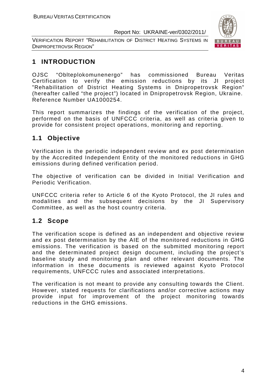VERIFICATION REPORT "REHABILITATION OF DISTRICT HEATING SYSTEMS IN DNIPROPETROVSK REGION"



# **1 INTRODUCTION**

OJSC "Oblteplokomunenergo" has commissioned Bureau Veritas Certification to verify the emission reductions by its JI project "Rehabilitation of District Heating Systems in Dnipropetrovsk Region" (hereafter called "the project") located in Dnipropetrovsk Region, Ukraine. Reference Number UA1000254.

This report summarizes the findings of the verification of the project, performed on the basis of UNFCCC criteria, as well as criteria given to provide for consistent project operations, monitoring and reporting.

# **1.1 Objective**

Verification is the periodic independent review and ex post determination by the Accredited Independent Entity of the monitored reductions in GHG emissions during defined verification period.

The objective of verification can be divided in Initial Verification and Periodic Verification.

UNFCCC criteria refer to Article 6 of the Kyoto Protocol, the JI rules and modalities and the subsequent decisions by the JI Supervisory Committee, as well as the host country criteria.

# **1.2 Scope**

The verification scope is defined as an independent and objective review and ex post determination by the AIE of the monitored reductions in GHG emissions. The verification is based on the submitted monitoring report and the determinated project design document, including the project's baseline study and monitoring plan and other relevant documents. The information in these documents is reviewed against Kyoto Protocol requirements, UNFCCC rules and associated interpretations.

The verification is not meant to provide any consulting towards the Client. However, stated requests for clarifications and/or corrective actions may provide input for improvement of the project monitoring towards reductions in the GHG emissions.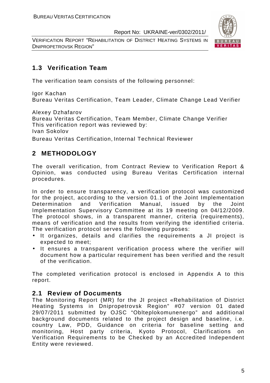VERIFICATION REPORT "REHABILITATION OF DISTRICT HEATING SYSTEMS IN DNIPROPETROVSK REGION"



# **1.3 Verification Team**

The verification team consists of the following personnel:

Igor Kachan Bureau Veritas Certification, Team Leader, Climate Change Lead Verifier

Alexey Dzhafarov

Bureau Veritas Certification, Team Member, Climate Change Verifier This verification report was reviewed by: Ivan Sokolov

Bureau Veritas Certification, Internal Technical Reviewer

# **2 METHODOLOGY**

The overall verification, from Contract Review to Verification Report & Opinion, was conducted using Bureau Veritas Certification internal procedures.

In order to ensure transparency, a verification protocol was customized for the project, according to the version 01.1 of the Joint Implementation Determination and Verification Manual, issued by the Joint Implementation Supervisory Committee at its 19 meeting on 04/12/2009. The protocol shows, in a transparent manner, criteria (requirements), means of verification and the results from verifying the identified criteria. The verification protocol serves the following purposes:

- It organizes, details and clarifies the requirements a JI project is expected to meet;
- It ensures a transparent verification process where the verifier will document how a particular requirement has been verified and the result of the verification.

The completed verification protocol is enclosed in Appendix A to this report.

# **2.1 Review of Documents**

The Monitoring Report (MR) for the JI project «Rehabilitation of District Heating Systems in Dnipropetrovsk Region" #07 version 01 dated 29/07/2011 submitted by OJSC "Oblteplokomunenergo" and additional background documents related to the project design and baseline, i.e. country Law, PDD, Guidance on criteria for baseline setting and monitoring, Host party criteria, Kyoto Protocol, Clarifications on Verification Requirements to be Checked by an Accredited Independent Entity were reviewed.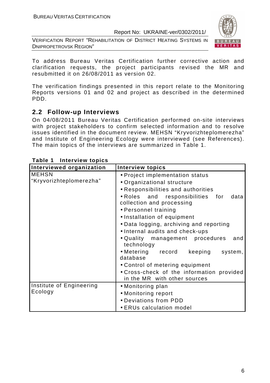VERIFICATION REPORT "REHABILITATION OF DISTRICT HEATING SYSTEMS IN DNIPROPETROVSK REGION"



To address Bureau Veritas Certification further corrective action and clarification requests, the project participants revised the MR and resubmitted it on 26/08/2011 as version 02.

The verification findings presented in this report relate to the Monitoring Reports versions 01 and 02 and project as described in the determined PDD.

# **2.2 Follow-up Interviews**

On 04/08/2011 Bureau Veritas Certification performed on-site interviews with project stakeholders to confirm selected information and to resolve issues identified in the document review. MEHSN "Kryvorizhteplomerezha" and Institute of Engineering Ecology were interviewed (see References). The main topics of the interviews are summarized in Table 1.

| Interviewed organization                | <b>Interview topics</b>                                                                                                                                                                                                                                                                                           |
|-----------------------------------------|-------------------------------------------------------------------------------------------------------------------------------------------------------------------------------------------------------------------------------------------------------------------------------------------------------------------|
| <b>MEHSN</b><br>"Kryvorizhteplomerezha" | • Project implementation status<br>• Organizational structure<br>• Responsibilities and authorities<br>. Roles and responsibilities for<br>data<br>collection and processing<br>• Personnel training<br>• Installation of equipment<br>• Data logging, archiving and reporting<br>• Internal audits and check-ups |
|                                         | • Quality management procedures<br>and<br>technology<br>• Metering record keeping<br>system,<br>database                                                                                                                                                                                                          |
|                                         | • Control of metering equipment<br>• Cross-check of the information provided<br>in the MR with other sources                                                                                                                                                                                                      |
| Institute of Engineering<br>Ecology     | • Monitoring plan<br>• Monitoring report<br>• Deviations from PDD<br>• ERUs calculation model                                                                                                                                                                                                                     |

#### **Table 1 Interview topics**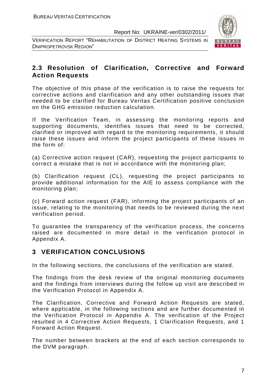VERIFICATION REPORT "REHABILITATION OF DISTRICT HEATING SYSTEMS IN DNIPROPETROVSK REGION"



# **2.3 Resolution of Clarification, Corrective and Forward Action Requests**

The objective of this phase of the verification is to raise the requests for corrective actions and clarification and any other outstanding issues that needed to be clarified for Bureau Veritas Certification positive conclusion on the GHG emission reduction calculation.

If the Verification Team, in assessing the monitoring reports and supporting documents, identifies issues that need to be corrected, clarified or improved with regard to the monitoring requirements, it should raise these issues and inform the project participants of these issues in the form of:

(a) Corrective action request (CAR), requesting the project participants to correct a mistake that is not in accordance with the monitoring plan;

(b) Clarification request (CL), requesting the project participants to provide additional information for the AIE to assess compliance with the monitoring plan;

(c) Forward action request (FAR), informing the project participants of an issue, relating to the monitoring that needs to be reviewed during the next verification period.

To guarantee the transparency of the verification process, the concerns raised are documented in more detail in the verification protocol in Appendix A.

# **3 VERIFICATION CONCLUSIONS**

In the following sections, the conclusions of the verification are stated.

The findings from the desk review of the original monitoring documents and the findings from interviews during the follow up visit are described in the Verification Protocol in Appendix A.

The Clarification, Corrective and Forward Action Requests are stated, where applicable, in the following sections and are further documented in the Verification Protocol in Appendix A. The verification of the Project resulted in 4 Corrective Action Requests, 1 Clarification Requests, and 1 Forward Action Request.

The number between brackets at the end of each section corresponds to the DVM paragraph.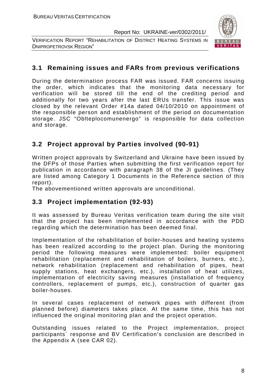VERIFICATION REPORT "REHABILITATION OF DISTRICT HEATING SYSTEMS IN DNIPROPETROVSK REGION"



# **3.1 Remaining issues and FARs from previous verifications**

During the determination process FAR was issued. FAR concerns issuing the order, which indicates that the monitoring data necessary for verification will be stored till the end of the crediting period and additionally for two years after the last ERUs transfer. This issue was closed by the relevant Order #14a dated 04/10/2010 on appointment of the responsible person and establishment of the period on documentation storage. JSC "Oblteplocomunenergo" is responsible for data collection and storage.

# **3.2 Project approval by Parties involved (90-91)**

Written project approvals by Switzerland and Ukraine have been issued by the DFPs of those Parties when submitting the first verification report for publication in accordance with paragraph 38 of the JI guidelines. (They are listed among Category 1 Documents in the Reference section of this report).

The abovementioned written approvals are unconditional.

# **3.3 Project implementation (92-93)**

It was assessed by Bureau Veritas verification team during the site visit that the project has been implemented in accordance with the PDD regarding which the determination has been deemed final.

Implementation of the rehabilitation of boiler-houses and heating systems has been realized according to the project plan. During the monitoring period the following measures were implemented: boiler equipment rehabilitation (replacement and rehabilitation of boilers, burners, etc.), network rehabilitation (replacement and rehabilitation of pipes, heat supply stations, heat exchangers, etc.), installation of heat utilizes, implementation of electricity saving measures (installation of frequency controllers, replacement of pumps, etc.), construction of quarter gas boiler-houses.

In several cases replacement of network pipes with different (from planned before) diameters takes place. At the same time, this has not influenced the original monitoring plan and the project operation.

Outstanding issues related to the Project implementation, project participants` response and BV Certification's conclusion are described in the Appendix A (see CAR 02).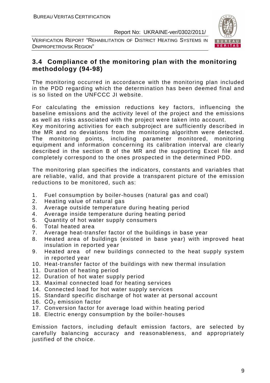VERIFICATION REPORT "REHABILITATION OF DISTRICT HEATING SYSTEMS IN DNIPROPETROVSK REGION"



# **3.4 Compliance of the monitoring plan with the monitoring methodology (94-98)**

The monitoring occurred in accordance with the monitoring plan included in the PDD regarding which the determination has been deemed final and is so listed on the UNFCCC JI website.

For calculating the emission reductions key factors, influencing the baseline emissions and the activity level of the project and the emissions as well as risks associated with the project were taken into account.

Key monitoring activities for each subproject are sufficiently described in the MR and no deviations from the monitoring algorithm were detected. The monitoring points, including parameter monitored, monitoring equipment and information concerning its calibration interval are clearly described in the section B of the MR and the supporting Excel file and completely correspond to the ones prospected in the determined PDD.

The monitoring plan specifies the indicators, constants and variables that are reliable, valid, and that provide a transparent picture of the emission reductions to be monitored, such as:

- 1. Fuel consumption by boiler-houses (natural gas and coal)
- 2. Heating value of natural gas
- 3. Average outside temperature during heating period
- 4. Average inside temperature during heating period
- 5. Quantity of hot water supply consumers
- 6. Total heated area
- 7. Average heat-transfer factor of the buildings in base year
- 8. Heated area of buildings (existed in base year) with improved heat insulation in reported year
- 9. Heated area of new buildings connected to the heat supply system in reported year
- 10. Heat-transfer factor of the buildings with new thermal insulation
- 11. Duration of heating period
- 12. Duration of hot water supply period
- 13. Maximal connected load for heating services
- 14. Connected load for hot water supply services
- 15. Standard specific discharge of hot water at personal account
- 16.  $CO<sub>2</sub>$  emission factor
- 17. Conversion factor for average load within heating period
- 18. Electric energy consumption by the boiler-houses

Emission factors, including default emission factors, are selected by carefully balancing accuracy and reasonableness, and appropriately justified of the choice.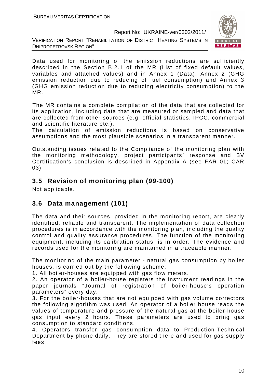VERIFICATION REPORT "REHABILITATION OF DISTRICT HEATING SYSTEMS IN DNIPROPETROVSK REGION"



Data used for monitoring of the emission reductions are sufficiently described in the Section B.2.1 of the MR (List of fixed default values, variables and attached values) and in Annex 1 (Data), Annex 2 (GHG emission reduction due to reducing of fuel consumption) and Annex 3 (GHG emission reduction due to reducing electricity consumption) to the MR.

The MR contains a complete compilation of the data that are collected for its application, including data that are measured or sampled and data that are collected from other sources (e.g. official statistics, IPCC, commercial and scientific literature etc.).

The calculation of emission reductions is based on conservative assumptions and the most plausible scenarios in a transparent manner.

Outstanding issues related to the Compliance of the monitoring plan with the monitoring methodology, project participants` response and BV Certification's conclusion is described in Appendix A (see FAR 01; CAR 03)

# **3.5 Revision of monitoring plan (99-100)**

Not applicable.

# **3.6 Data management (101)**

The data and their sources, provided in the monitoring report, are clearly identified, reliable and transparent. The implementation of data collection procedures is in accordance with the monitoring plan, including the quality control and quality assurance procedures. The function of the monitoring equipment, including its calibration status, is in order. The evidence and records used for the monitoring are maintained in a traceable manner.

The monitoring of the main parameter - natural gas consumption by boiler houses, is carried out by the following scheme:

1. All boiler-houses are equipped with gas flow meters.

2. An operator of a boiler-house registers the instrument readings in the paper journals "Journal of registration of boiler-house's operation parameters" every day.

3. For the boiler-houses that are not equipped with gas volume correctors the following algorithm was used. An operator of a boiler house reads the values of temperature and pressure of the natural gas at the boiler-house gas input every 2 hours. These parameters are used to bring gas consumption to standard conditions.

4. Operators transfer gas consumption data to Production-Technical Department by phone daily. They are stored there and used for gas supply fees.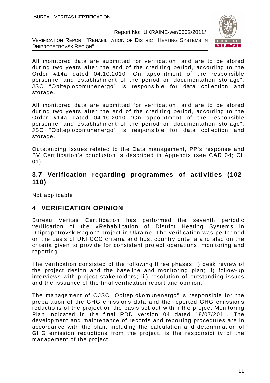VERIFICATION REPORT "REHABILITATION OF DISTRICT HEATING SYSTEMS IN DNIPROPETROVSK REGION"



All monitored data are submitted for verification, and are to be stored during two years after the end of the crediting period, according to the Order #14a dated 04.10.2010 "On appointment of the responsible personnel and establishment of the period on documentation storage". JSC "Oblteplocomunenergo" is responsible for data collection and storage.

All monitored data are submitted for verification, and are to be stored during two years after the end of the crediting period, according to the Order #14a dated 04.10.2010 "On appointment of the responsible personnel and establishment of the period on documentation storage". JSC "Oblteplocomunenergo" is responsible for data collection and storage.

Outstanding issues related to the Data management, PP's response and BV Certification's conclusion is described in Appendix (see CAR 04; CL 01).

# **3.7 Verification regarding programmes of activities (102- 110)**

Not applicable

# **4 VERIFICATION OPINION**

Bureau Veritas Certification has performed the seventh periodic verification of the «Rehabilitation of District Heating Systems in Dnipropetrovsk Region" project in Ukraine. The verification was performed on the basis of UNFCCC criteria and host country criteria and also on the criteria given to provide for consistent project operations, monitoring and reporting.

The verification consisted of the following three phases: i) desk review of the project design and the baseline and monitoring plan; ii) follow-up interviews with project stakeholders; iii) resolution of outstanding issues and the issuance of the final verification report and opinion.

The management of OJSC "Oblteplokomunenergo" is responsible for the preparation of the GHG emissions data and the reported GHG emissions reductions of the project on the basis set out within the project Monitoring Plan indicated in the final PDD version 04 dated 18/07/2011. The development and maintenance of records and reporting procedures are in accordance with the plan, including the calculation and determination of GHG emission reductions from the project, is the responsibility of the management of the project.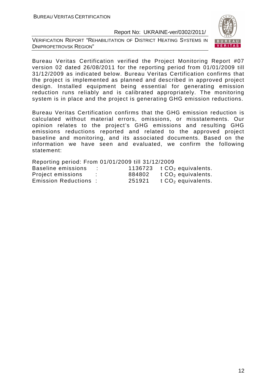VERIFICATION REPORT "REHABILITATION OF DISTRICT HEATING SYSTEMS IN DNIPROPETROVSK REGION"



Bureau Veritas Certification verified the Project Monitoring Report #07 version 02 dated 26/08/2011 for the reporting period from 01/01/2009 till 31/12/2009 as indicated below. Bureau Veritas Certification confirms that the project is implemented as planned and described in approved project design. Installed equipment being essential for generating emission reduction runs reliably and is calibrated appropriately. The monitoring system is in place and the project is generating GHG emission reductions.

Bureau Veritas Certification confirms that the GHG emission reduction is calculated without material errors, omissions, or misstatements. Our opinion relates to the project's GHG emissions and resulting GHG emissions reductions reported and related to the approved project baseline and monitoring, and its associated documents. Based on the information we have seen and evaluated, we confirm the following statement:

| Reporting period: From 01/01/2009 till 31/12/2009 |   |        |                             |
|---------------------------------------------------|---|--------|-----------------------------|
| Baseline emissions                                |   |        | 1136723 $tCO2$ equivalents. |
| Project emissions                                 | ÷ | 884802 | t $CO2$ equivalents.        |
| <b>Emission Reductions:</b>                       |   | 251921 | t $CO2$ equivalents.        |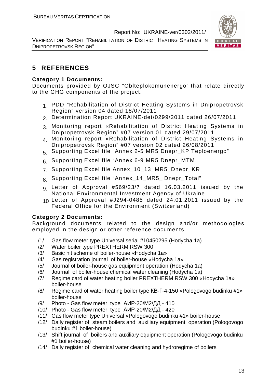VERIFICATION REPORT "REHABILITATION OF DISTRICT HEATING SYSTEMS IN DNIPROPETROVSK REGION"



# **5 REFERENCES**

#### **Category 1 Documents:**

Documents provided by OJSC "Oblteplokomunenergo" that relate directly to the GHG components of the project.

- 1. PDD "Rehabilitation of District Heating Systems in Dnipropetrovsk Region" version 04 dated 18/07/2011
- 2. Determination Report UKRAINE-det/0299/2011 dated 26/07/2011
- 3. Monitoring report «Rehabilitation of District Heating Systems in Dnipropetrovsk Region" #07 version 01 dated 29/07/2011
- 4. Monitoring report «Rehabilitation of District Heating Systems in Dnipropetrovsk Region" #07 version 02 dated 26/08/2011
- 5. Supporting Excel file "Annex 2-5 MR5 Dnepr\_KP Teploenergo"
- 6. Supporting Excel file "Annex 6-9 MR5 Dnepr\_MTM
- 7. Supporting Excel file Annex\_10\_13\_MR5\_Dnepr\_KR
- 8. Supporting Excel file "Annex\_14 MR5 Dnepr Total"
- 9. Letter of Approval #569/23/7 dated 16.03.2011 issued by the National Environmental Investment Agency of Ukraine
- 10. Letter of Approval #J294-0485 dated 24.01.2011 issued by the Federal Office for the Environment (Switzerland)

#### **Category 2 Documents:**

Background documents related to the design and/or methodologies employed in the design or other reference documents.

- /1/ Gas flow meter type Universal serial #10450295 (Hodycha 1a)
- /2/ Water boiler type PREXTHERM RSW 300
- /3/ Basic hit scheme of boiler-house «Hodycha 1a»
- /4/ Gas registration journal of boiler-house «Hodycha 1a»
- /5/ Journal of boiler-house gas equipment operation (Hodycha 1a)
- /6/ Journal of boiler-house chemical water cleaning (Hodycha 1a)
- /7/ Regime card of water heating boiler PREXTHERM RSW 300 «Hodycha 1a» boiler-house
- /8/ Regime card of water heating boiler type КВ-Г-4-150 «Pologovogo budinku #1» boiler-house
- /9/ Photo Gas flow meter type АИР-20/М2/ДД 410
- /10/ Photo Gas flow meter type АИР-20/М2/ДД 420
- /11/ Gas flow meter type Universal «Pologovogo budinku #1» boiler-house
- /12/ Daily register of steam boilers and auxiliary equipment operation (Pologovogo budinku #1 boiler-house)
- /13/ Shift journal of boilers and auxiliary equipment operation (Pologovogo budinku #1 boiler-house)
- /14/ Daily register of chemical water cleaning and hydroregime of boilers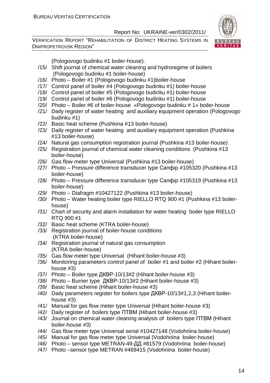VERIFICATION REPORT "REHABILITATION OF DISTRICT HEATING SYSTEMS IN DNIPROPETROVSK REGION"



(Pologovogo budinku #1 boiler-house).

- /15/ Shift journal of chemical water cleaning and hydroregime of boilers (Pologovogo budinku #1 boiler-house)
- /16/ Photo Boiler #1 (Pologovogo budinku #1)boiler-house
- /17/ Control panel of boiler #4 (Pologovogo budinku #1) boiler-house
- /18/ Control panel of boiler #5 (Pologovogo budinku #1) boiler-house
- /19/ Control panel of boiler #6 (Pologovogo budinku #1) boiler-house
- /20/ Photo Boiler #6 of boiler-house «Pologovogo budinku # 1» boiler-house
- /21/ Daily register of water heating and auxiliary equipment operation (Pologovogo budinku #1)
- /22/ Basic heat scheme (Pushkina #13 boiler-house)
- /23/ Daily register of water heating and auxiliary equipment operation (Pushkina #13 boiler-house)
- /24/ Natural gas consumption registration journal (Pushkina #13 boiler-house)
- /25/ Registration journal of chemical water cleaning conditions (Pushkina #13 boiler-house)
- /26/ Gas flow meter type Universal (Pushkina #13 boiler-house)
- /27/ Photo Pressure difference transducer type Сапфір #105320 (Pushkina #13 boiler-house)
- /28/ Photo Pressure difference transducer type Сапфір #105319 (Pushkina #13 boiler-house)
- /29/ Photo Diafragm #10427122 (Pushkina #13 boiler-house)
- /30/ Photo Water heating boiler type RIELLO RTQ 900 #1 (Pushkina #13 boilerhouse)
- /31/ Chart of security and alarm installation for water heating boiler type RIELLO RTQ 900 #1
- /32/ Basic heat scheme (KTRA boiler-house)
- /33/ Registration journal of boiler-house conditions (KTRA boiler-house)
- /34/ Registration journal of natural gas consumption (KTRA boiler-house)
- /35/ Gas flow meter type Universal (Hihant boiler-house #3)
- /36/ Monitoring parameters control panel of boiler #1 and boiler #2 (Hihant boilerhouse #3)
- /37/ Photo Boiler type ДКВР-10/13#2 (Hihant boiler-house #3)
- /38/ Photo Burner type ДКВР-10/13#2 (Hihant boiler-house #3)
- /39/ Basic heat scheme (Hihant boiler-house #3)
- /40/ Daily parameters register for boilers type ДКВР-10/13#1,2,3 (Hihant boilerhouse #3)
- /41/ Manual for gas flow meter type Universal (Hihant boiler-house #3)
- /42/ Daily register of boilers type ПТВМ (Hihant boiler-house #3)
- /43/ Journal on chemical water cleaning analysis of boilers type ПТВМ (Hihant boiler-house #3)
- /44/ Gas flow meter type Universal serial #10427148 (Vodohriina boiler-house)
- /45/ Manual for gas flow meter type Universal (Vodohriina boiler-house)
- /46/ Photo sensor type METRAN-49-ДД #81579 (Vodohriina boiler-house)
- /47/ Photo –sensor type METRAN #469415 (Vodohriina boiler-house)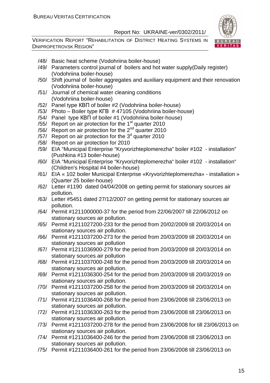

- /48/ Basic heat scheme (Vodohriina boiler-house)
- /49/ Parameters control journal of boilers and hot water supply(Daily register) (Vodohriina boiler-house)
- /50/ Shift journal of boiler aggregates and auxiliary equipment and their renovation (Vodohriina boiler-house)
- /51/ Journal of chemical water cleaning conditions (Vodohriina boiler-house)
- /52/ Panel type КВП of boiler #2 (Vodohriina boiler-house)
- /53/ Photo Boiler type КГВ # 47105 (Vodohriina boiler-house)
- /54/ Panel type КВП of boiler #1 (Vodohriina boiler-house)
- /55/ Report on air protection for the  $1<sup>st</sup>$  quarter 2010
- /56/ Report on air protection for the 2nd quarter 2010
- /57/ Report on air protection for the  $3<sup>d</sup>$  quarter 2010
- /58/ Report on air protection for 2010
- /59/ EIA "Municipal Enterprise "Kryvorizhteplomerezha" boiler #102 installation" (Pushkina #13 boiler-house)
- /60/ EIA "Municipal Enterprise "Kryvorizhteplomerezha" boiler #102 installation" (Children's Hospital #4 boiler-house)
- /61/ EIA « 102 boiler Municipal Enterprise «Kryvorizhteplomerezha» installation » (Quarter 25 boiler-house)
- /62/ Letter #1190 dated 04/04/2008 on getting permit for stationary sources air pollution.
- /63/ Letter #5451 dated 27/12/2007 on getting permit for stationary sources air pollution.
- /64/ Permit #1211000000-37 for the period from 22/06/2007 till 22/06/2012 on stationary sources air pollution.
- /65/ Permit #1211027200-233 for the period from 20/02/2009 till 20/03/2014 on stationary sources air pollution.
- /66/ Permit #1211037200-273 for the period from 20/03/2009 till 20/03/2014 on stationary sources air pollution
- /67/ Permit #1211036900-279 for the period from 20/03/2009 till 20/03/2014 on stationary sources air pollution
- /68/ Permit #1211037000-248 for the period from 20/03/2009 till 20/03/2014 on stationary sources air pollution.
- /69/ Permit #1211036300-254 for the period from 20/03/2009 till 20/03/2019 on stationary sources air pollution.
- /70/ Permit #1211037200-258 for the period from 20/03/2009 till 20/03/2014 on stationary sources air pollution.
- /71/ Permit #1211036400-268 for the period from 23/06/2008 till 23/06/2013 on stationary sources air pollution.
- /72/ Permit #1211036300-263 for the period from 23/06/2008 till 23/06/2013 on stationary sources air pollution.
- /73/ Permit #1211037200-278 for the period from 23/06/2008 for till 23/06/2013 on stationary sources air pollution.
- /74/ Permit #1211036400-246 for the period from 23/06/2008 till 23/06/2013 on stationary sources air pollution.
- /75/ Permit #1211036400-261 for the period from 23/06/2008 till 23/06/2013 on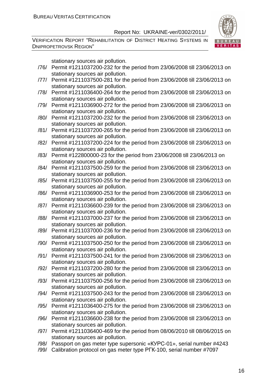VERIFICATION REPORT "REHABILITATION OF DISTRICT HEATING SYSTEMS IN DNIPROPETROVSK REGION"



stationary sources air pollution.

- /76/ Permit #1211037200-232 for the period from 23/06/2008 till 23/06/2013 on stationary sources air pollution.
- /77/ Permit #1211037500-281 for the period from 23/06/2008 till 23/06/2013 on stationary sources air pollution.
- /78/ Permit #1211036400-264 for the period from 23/06/2008 till 23/06/2013 on stationary sources air pollution.
- /79/ Permit #1211036900-272 for the period from 23/06/2008 till 23/06/2013 on stationary sources air pollution.
- /80/ Permit #1211037200-232 for the period from 23/06/2008 till 23/06/2013 on stationary sources air pollution.
- /81/ Permit #1211037200-265 for the period from 23/06/2008 till 23/06/2013 on stationary sources air pollution.
- /82/ Permit #1211037200-224 for the period from 23/06/2008 till 23/06/2013 on stationary sources air pollution.
- /83/ Permit #122800000-23 for the period from 23/06/2008 till 23/06/2013 on stationary sources air pollution.
- /84/ Permit #1211037500-259 for the period from 23/06/2008 till 23/06/2013 on stationary sources air pollution.
- /85/ Permit #1211037500-255 for the period from 23/06/2008 till 23/06/2013 on stationary sources air pollution.
- /86/ Permit #1211036900-253 for the period from 23/06/2008 till 23/06/2013 on stationary sources air pollution.
- /87/ Permit #1211036600-239 for the period from 23/06/2008 till 23/06/2013 on stationary sources air pollution.
- /88/ Permit #1211037000-237 for the period from 23/06/2008 till 23/06/2013 on stationary sources air pollution.
- /89/ Permit #1211037000-236 for the period from 23/06/2008 till 23/06/2013 on stationary sources air pollution.
- /90/ Permit #1211037500-250 for the period from 23/06/2008 till 23/06/2013 on stationary sources air pollution.
- /91/ Permit #1211037500-241 for the period from 23/06/2008 till 23/06/2013 on stationary sources air pollution.
- /92/ Permit #1211037200-280 for the period from 23/06/2008 till 23/06/2013 on stationary sources air pollution.
- /93/ Permit #1211037500-256 for the period from 23/06/2008 till 23/06/2013 on stationary sources air pollution.
- /94/ Permit #1211037500-243 for the period from 23/06/2008 till 23/06/2013 on stationary sources air pollution.
- /95/ Permit #1211036400-275 for the period from 23/06/2008 till 23/06/2013 on stationary sources air pollution.
- /96/ Permit #1211036600-238 for the period from 23/06/2008 till 23/06/2013 on stationary sources air pollution.
- /97/ Permit #1211036400-469 for the period from 08/06/2010 till 08/06/2015 on stationary sources air pollution.
- /98/ Passport on gas meter type supersonic «КУРС-01», serial number #4243
- /99/ Calibration protocol on gas meter type РГК-100, serial number #7097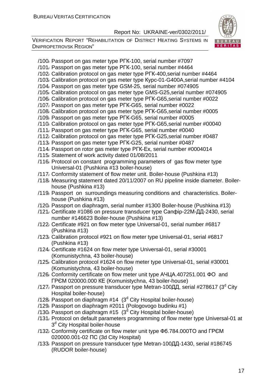

- /100/ Passport on gas meter type РГК-100, serial number #7097
- /101/ Passport on gas meter type РГК-100, serial number #4464
- /102/ Calibration protocol on gas meter type РГК-400,serial number #4464
- /103/ Calibration protocol on gas meter type Курс-01-G400A,serial number #4104
- /104/ Passport on gas meter type GSM-25, serial number #074905
- /105/ Calibration protocol on gas meter type GMS-G25,serial number #074905
- /106/ Calibration protocol on gas meter type РГК-G65,serial number #0022
- /107/ Passport on gas meter type РГК-G65, serial number #0022
- /108/ Calibration protocol on gas meter type РГК-G65,serial number #0005
- /109/ Passport on gas meter type РГК-G65, serial number #0005
- /110/ Calibration protocol on gas meter type РГК-G65,serial number #00040
- /111/ Passport on gas meter type РГК-G65, serial number #0040
- /112/ Calibration protocol on gas meter type РГК-G25,serial number #0487
- /113/ Passport on gas meter type РГК-G25, serial number #0487
- /114/ Passport on rotor gas meter type РГК-Ех, serial number #0004014
- /115/ Statement of work activity dated 01/08/2011
- /116/ Protocol on constant programming parameters of gas flow meter type Universal-01 (Pushkina #13 boiler-house)
- /117/ Conformity statement of flow meter unit. Boiler-house (Pushkina #13)
- /118/ Measuring statement dated 20/11/2007 on RU pipeline inside diameter. Boilerhouse (Pushkina #13)
- /119/ Passport on surroundings measuring conditions and characteristics. Boilerhouse (Pushkina #13)
- /120/ Passport on diaphragm, serial number #1300 Boiler-house (Pushkina #13)
- /121/ Сertificate #1086 on pressure transducer type Сапфір-22М-ДД-2430, serial number #146623 Boiler-house (Pushkina #13)
- /122/ Сertificate #921 on flow meter type Universal-01, serial number #6817 (Pushkina #13)
- /123/ Calibration protocol #921 on flow meter type Universal-01, serial #6817 (Pushkina #13)
- /124/ Certificate #1624 on flow meter type Universal-01, serial #30001 (Komunistychna, 43 boiler-house)
- /125/ Calibration protocol #1624 on flow meter type Universal-01, serial #30001 (Komunistychna, 43 boiler-house)
- /126/ Conformity certificate on flow meter unit type АЧЦА.407251.001 ФО and ГРЄМ 020000.000 КЕ (Komunistychna, 43 boiler-house)
- /127, Passport on pressure transducer type Metran-100ДД, serial #278617 (3<sup>d</sup> City Hospital boiler-house)
- $/128$ , Passport on diaphragm #14 (3<sup>d</sup> City Hospital boiler-house)
- /129/ Passport on diaphragm #2011 (Pologovogo budinku #1)
- /130, Passport on diaphragm #15  $(3<sup>d</sup>$  City Hospital boiler-house)
- /131/ Protocol on default parameters programming of flow meter type Universal-01 at 3<sup>d</sup> City Hospital boiler-house
- /132/ Conformity certificate on flow meter unit type Фб.784.000ТО and ГРЄМ 020000.001-02 ПС (3d City Hospital)
- /133/ Passport on pressure transducer type Metran-100ДД-1430, serial #186745 (RUDOR boiler-house)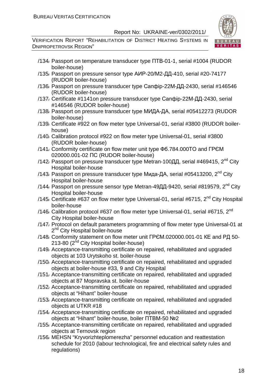

- /134/ Passport on temperature transducer type ПТВ-01-1, serial #1004 (RUDOR boiler-house)
- /135/ Passport on pressure sensor type АИР-20/М2-ДД-410, serial #20-74177 (RUDOR boiler-house)
- /136/ Passport on pressure transducer type Сапфір-22М-ДД-2430, serial #146546 (RUDOR boiler-house)
- /137/ Certificate #1141on pressure transducer type Сапфір-22М-ДД-2430, serial #146546 (RUDOR boiler-house)
- /138/ Passport on pressure transducer type МИДА-ДА, serial #05412273 (RUDOR boiler-house)
- /139/ Certificate #922 on flow meter type Universal-01, serial #3800 (RUDOR boilerhouse)
- /140/ Calibration protocol #922 on flow meter type Universal-01, serial #3800 (RUDOR boiler-house)
- /141/ Conformity certificate on flow meter unit type Фб.784.000ТО and ГРЄМ 020000.001-02 ПС (RUDOR boiler-house)
- /142/ Passport on pressure transducer type Metran-100ДД, serial #469415,  $2^{nd}$  City Hospital boiler-house
- /143, Passport on pressure transducer type Мида-ДА, serial #05413200,  $2^{nd}$  City Hospital boiler-house
- /144, Passport on pressure sensor type Metran-49ДД-9420, serial #819579, 2<sup>nd</sup> Citv Hospital boiler-house
- /145, Certificate #637 on flow meter type Universal-01, serial #6715,  $2^{nd}$  City Hospital boiler-house
- /146/ Calibration protocol #637 on flow meter type Universal-01, serial #6715,  $2^{nd}$ City Hospital boiler-house
- /147/ Protocol on default parameters programming of flow meter type Universal-01 at 2<sup>nd</sup> City Hospital boiler-house
- /148/ Conformity statement on flow meter unit ГРЄМ.020000.001-01 КЕ and РД 50- 213-80 (2<sup>nd</sup> City Hospital boiler-house)
- /149/ Acceptance-transmitting certificate on repaired, rehabilitated and upgraded objects at 103 Urytskoho st. boiler-house
- /150/ Acceptance-transmitting certificate on repaired, rehabilitated and upgraded objects at boiler-house #33, 9 and City Hospital
- /151/ Acceptance-transmitting certificate on repaired, rehabilitated and upgraded objects at 87 Mopravska st. boiler-house
- /152/ Acceptance-transmitting certificate on repaired, rehabilitated and upgraded objects at "Hihant" boiler-house
- /153/ Acceptance-transmitting certificate on repaired, rehabilitated and upgraded objects at UTKR #18
- /154/ Acceptance-transmitting certificate on repaired, rehabilitated and upgraded objects at "Hihant" boiler-house, boiler ПТВМ-50 №2
- /155/ Acceptance-transmitting certificate on repaired, rehabilitated and upgraded objects at Ternovsk region
- /156/ MEHSN "Kryvorizhteplomerezha" personnel education and reattestation schedule for 2010 (labour technological, fire and electrical safety rules and regulations)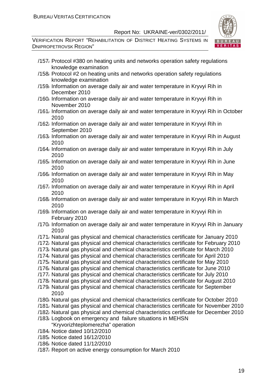

- /157/ Protocol #380 on heating units and networks operation safety regulations knowledge examination
- /158/ Protocol #2 on heating units and networks operation safety regulations knowledge examination
- /159/ Information on average daily air and water temperature in Kryvyi Rih in December 2010
- /160/ Information on average daily air and water temperature in Kryvyi Rih in November 2010
- /161/ Information on average daily air and water temperature in Kryvyi Rih in October 2010
- /162/ Information on average daily air and water temperature in Kryvyi Rih in September 2010
- /163/ Information on average daily air and water temperature in Kryvyi Rih in August 2010
- /164/ Information on average daily air and water temperature in Kryvyi Rih in July 2010
- /165/ Information on average daily air and water temperature in Kryvyi Rih in June 2010
- /166/ Information on average daily air and water temperature in Kryvyi Rih in May 2010
- /167/ Information on average daily air and water temperature in Kryvyi Rih in April 2010
- /168/ Information on average daily air and water temperature in Kryvyi Rih in March 2010
- /169/ Information on average daily air and water temperature in Kryvyi Rih in February 2010
- /170/ Information on average daily air and water temperature in Kryvyi Rih in January 2010
- /171/ Natural gas physical and chemical characteristics certificate for January 2010
- /172/ Natural gas physical and chemical characteristics certificate for February 2010
- /173/ Natural gas physical and chemical characteristics certificate for March 2010
- /174/ Natural gas physical and chemical characteristics certificate for April 2010
- /175/ Natural gas physical and chemical characteristics certificate for May 2010
- /176/ Natural gas physical and chemical characteristics certificate for June 2010
- /177/ Natural gas physical and chemical characteristics certificate for July 2010
- /178/ Natural gas physical and chemical characteristics certificate for August 2010
- /179/ Natural gas physical and chemical characteristics certificate for September 2010
- /180/ Natural gas physical and chemical characteristics certificate for October 2010
- /181/ Natural gas physical and chemical characteristics certificate for November 2010
- /182/ Natural gas physical and chemical characteristics certificate for December 2010
- /183/ Logbook on emergency and failure situations in MEHSN "Kryvorizhteplomerezha" operation
- /184/ Notice dated 10/12/2010
- /185/ Notice dated 16/12/2010
- /186/ Notice dated 11/12/2010
- /187/ Report on active energy consumption for March 2010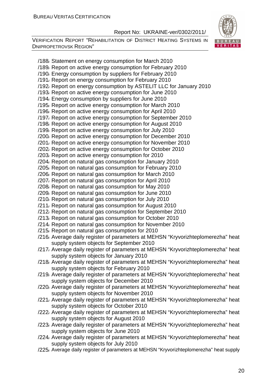VERIFICATION REPORT "REHABILITATION OF DISTRICT HEATING SYSTEMS IN DNIPROPETROVSK REGION"



/188/ Statement on energy consumption for March 2010 /189/ Report on active energy consumption for February 2010 /190/ Energy consumption by suppliers for February 2010 /191/ Report on energy consumption for February 2010 /192/ Report on energy consumption by ASTELIT LLC for January 2010 /193/ Report on active energy consumption for June 2010 /194/ Energy consumption by suppliers for June 2010 /195/ Report on active energy consumption for March 2010 /196/ Report on active energy consumption for April 2010 /197/ Report on active energy consumption for September 2010 /198/ Report on active energy consumption for August 2010 /199/ Report on active energy consumption for July 2010 /200/ Report on active energy consumption for December 2010 /201/ Report on active energy consumption for November 2010 /202/ Report on active energy consumption for October 2010 /203/ Report on active energy consumption for 2010 /204/ Report on natural gas consumption for January 2010 /205/ Report on natural gas consumption for February 2010 /206/ Report on natural gas consumption for March 2010 /207/ Report on natural gas consumption for April 2010 /208/ Report on natural gas consumption for May 2010 /209/ Report on natural gas consumption for June 2010 /210/ Report on natural gas consumption for July 2010 /211/ Report on natural gas consumption for August 2010 /212/ Report on natural gas consumption for September 2010 /213/ Report on natural gas consumption for October 2010 /214/ Report on natural gas consumption for November 2010 /215/ Report on natural gas consumption for 2010 /216/ Average daily register of parameters at MEHSN "Kryvorizhteplomerezha" heat supply system objects for September 2010 /217/ Average daily register of parameters at MEHSN "Kryvorizhteplomerezha" heat supply system objects for January 2010 /218/ Average daily register of parameters at MEHSN "Kryvorizhteplomerezha" heat supply system objects for February 2010 /219/ Average daily register of parameters at MEHSN "Kryvorizhteplomerezha" heat supply system objects for December 2010 /220/ Average daily register of parameters at MEHSN "Kryvorizhteplomerezha" heat supply system objects for November 2010 /221/ Average daily register of parameters at MEHSN "Kryvorizhteplomerezha" heat supply system objects for October 2010 /222/ Average daily register of parameters at MEHSN "Kryvorizhteplomerezha" heat supply system objects for August 2010 /223/ Average daily register of parameters at MEHSN "Kryvorizhteplomerezha" heat supply system objects for June 2010 /224/ Average daily register of parameters at MEHSN "Kryvorizhteplomerezha" heat supply system objects for July 2010 /225/ Average daily register of parameters at MEHSN "Kryvorizhteplomerezha" heat supply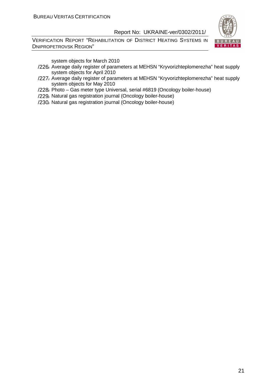VERIFICATION REPORT "REHABILITATION OF DISTRICT HEATING SYSTEMS IN DNIPROPETROVSK REGION"



system objects for March 2010

- /226/ Average daily register of parameters at MEHSN "Kryvorizhteplomerezha" heat supply system objects for April 2010
- /227/ Average daily register of parameters at MEHSN "Kryvorizhteplomerezha" heat supply system objects for May 2010
- /228/ Photo Gas meter type Universal, serial #6819 (Oncology boiler-house)
- /229/ Natural gas registration journal (Oncology boiler-house)
- /230/ Natural gas registration journal (Oncology boiler-house)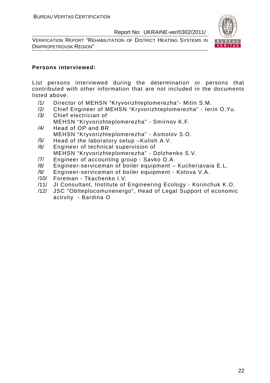VERIFICATION REPORT "REHABILITATION OF DISTRICT HEATING SYSTEMS IN DNIPROPETROVSK REGION"



#### **Persons interviewed:**

List persons interviewed during the determination or persons that contributed with other information that are not included in the documents listed above.

- /1/ Director of MEHSN "Kryvorizhteplomerezha"- Mitin S.M.
- /2/ Chief Engineer of MEHSN "Kryvorizhteplomerezha" Ierin O.Yu. /3/ Сhief electrician of
	- MEHSN "Kryvorizhteplomerezha" Smirnov K.F.
- /4/ Head of OP and BR MEHSN "Kryvorizhteplomerezha" - Asmolov S.O.
- /5/ Head of the laboratory setup –Kulish A.V.
- /6/ Engineer of technical supervision of MEHSN "Kryvorizhteplomerezha" - Dolzhenko S.V.
- /7/ Engineer of accounting group Savko O.A.
- /8/ Engineer-serviceman of boiler equipment Kucheriavaia E.L.
- /9/ Engineer-serviceman of boiler equipment Kotova V.A.
- /10/ Foreman Tkachenko I.V.
- /11/ JI Consultant, Institute of Engineering Ecology Korinchuk K.O.
- /12/ JSC "Oblteplocomunenergo", Head of Legal Support of economic activity - Bardina O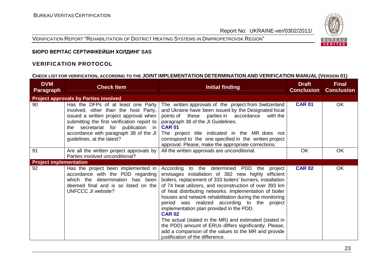VERIFICATION REPORT "REHABILITATION OF DISTRICT HEATING SYSTEMS IN DNIPROPETROVSK REGION"



# **БЮРО ВЕРІТАС СЕРТИФІКЕЙШН ХОЛДИНГ SAS**

#### **VERIFICATION PROTOCOL**

# **CHECK LIST FOR VERIFICATION, ACCORDING TO THE JOINT IMPLEMENTATION DETERMINATION AND VERIFICATION MANUAL (VERSION 01)**

| <b>DVM</b><br><b>Paragraph</b> | <b>Check Item</b>                                                                                                                                                                                                                                                                 | <b>Initial finding</b>                                                                                                                                                                                                                                                                                                                                                                                                                                                                                                                                                                                                                                                        | <b>Draft</b><br><b>Conclusion</b> | <b>Final</b><br><b>Conclusion</b> |
|--------------------------------|-----------------------------------------------------------------------------------------------------------------------------------------------------------------------------------------------------------------------------------------------------------------------------------|-------------------------------------------------------------------------------------------------------------------------------------------------------------------------------------------------------------------------------------------------------------------------------------------------------------------------------------------------------------------------------------------------------------------------------------------------------------------------------------------------------------------------------------------------------------------------------------------------------------------------------------------------------------------------------|-----------------------------------|-----------------------------------|
|                                | <b>Project approvals by Parties involved</b>                                                                                                                                                                                                                                      |                                                                                                                                                                                                                                                                                                                                                                                                                                                                                                                                                                                                                                                                               |                                   |                                   |
| 90                             | Has the DFPs of at least one Party<br>involved, other than the host Party,<br>issued a written project approval when<br>submitting the first verification report to<br>the secretariat for publication in<br>accordance with paragraph 38 of the JI<br>guidelines, at the latest? | The written approvals of the project from Switzerland<br>and Ukraine have been issued by the Designated focal<br>points of these parties in accordance<br>with the<br>paragraph 38 of the JI Guidelines.<br><b>CAR 01</b><br>The project title indicated in the MR does not<br>correspond to the one specified in the written project<br>approval. Please, make the appropriate corrections.                                                                                                                                                                                                                                                                                  | <b>CAR 01</b>                     | <b>OK</b>                         |
| 91                             | Are all the written project approvals by<br>Parties involved unconditional?                                                                                                                                                                                                       | All the written approvals are unconditional.                                                                                                                                                                                                                                                                                                                                                                                                                                                                                                                                                                                                                                  | <b>OK</b>                         | <b>OK</b>                         |
| <b>Project implementation</b>  |                                                                                                                                                                                                                                                                                   |                                                                                                                                                                                                                                                                                                                                                                                                                                                                                                                                                                                                                                                                               |                                   |                                   |
| 92                             | Has the project been implemented in<br>accordance with the PDD regarding<br>which the determination has been<br>deemed final and is so listed on the<br>UNFCCC JI website?                                                                                                        | According to the determined PDD the project<br>envisages installation of 382 new highly efficient<br>boilers, replacement of 333 boilers' burners, installation<br>of 74 heat utilizers, and reconstruction of over 393 km<br>of heat distributing networks. Implementation of boiler<br>houses and network rehabilitation during the monitoring<br>period was realized according to the project<br>implementation plan provided in the PDD.<br><b>CAR 02</b><br>The actual (stated in the MR) and estimated (stated in<br>the PDD) amount of ERUs differs significantly. Please,<br>add a comparison of the values to the MR and provide<br>justification of the difference. | <b>CAR 02</b>                     | OK                                |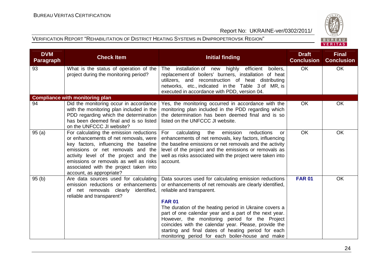



| <b>DVM</b><br><b>Paragraph</b> | <b>Check Item</b>                                                                                                                                                                                                                                                                                                       | <b>Initial finding</b>                                                                                                                                                                                                                                                                                                                                                                                                                                                                                   | <b>Draft</b><br><b>Conclusion</b> | <b>Final</b><br><b>Conclusion</b> |
|--------------------------------|-------------------------------------------------------------------------------------------------------------------------------------------------------------------------------------------------------------------------------------------------------------------------------------------------------------------------|----------------------------------------------------------------------------------------------------------------------------------------------------------------------------------------------------------------------------------------------------------------------------------------------------------------------------------------------------------------------------------------------------------------------------------------------------------------------------------------------------------|-----------------------------------|-----------------------------------|
| 93                             | What is the status of operation of the<br>project during the monitoring period?                                                                                                                                                                                                                                         | installation of new highly efficient boilers,<br><b>The</b><br>replacement of boilers' burners, installation of heat<br>utilizers, and reconstruction of heat distributing<br>networks, etc., indicated in the Table 3 of MR, is<br>executed in accordance with PDD, version 04.                                                                                                                                                                                                                         | <b>OK</b>                         | OK                                |
|                                | <b>Compliance with monitoring plan</b>                                                                                                                                                                                                                                                                                  |                                                                                                                                                                                                                                                                                                                                                                                                                                                                                                          |                                   |                                   |
| 94                             | Did the monitoring occur in accordance<br>with the monitoring plan included in the<br>PDD regarding which the determination<br>has been deemed final and is so listed<br>on the UNFCCC JI website?                                                                                                                      | Yes, the monitoring occurred in accordance with the<br>monitoring plan included in the PDD regarding which<br>the determination has been deemed final and is so<br>listed on the UNFCCC JI website.                                                                                                                                                                                                                                                                                                      | <b>OK</b>                         | OK                                |
| 95(a)                          | For calculating the emission reductions<br>or enhancements of net removals, were<br>key factors, influencing the baseline<br>emissions or net removals and the<br>activity level of the project and the<br>emissions or removals as well as risks<br>associated with the project taken into<br>account, as appropriate? | emission<br>For<br>calculating<br>the<br>reductions<br>or<br>enhancements of net removals, key factors, influencing<br>the baseline emissions or net removals and the activity<br>level of the project and the emissions or removals as<br>well as risks associated with the project were taken into<br>account.                                                                                                                                                                                         | OK                                | OK                                |
| 95(b)                          | Are data sources used for calculating<br>emission reductions or enhancements<br>of net removals clearly<br>identified,<br>reliable and transparent?                                                                                                                                                                     | Data sources used for calculating emission reductions<br>or enhancements of net removals are clearly identified,<br>reliable and transparent.<br><b>FAR 01</b><br>The duration of the heating period in Ukraine covers a<br>part of one calendar year and a part of the next year.<br>However, the monitoring period for the Project<br>coincides with the calendar year. Please, provide the<br>starting and final dates of heating period for each<br>monitoring period for each boiler-house and make | <b>FAR 01</b>                     | OK                                |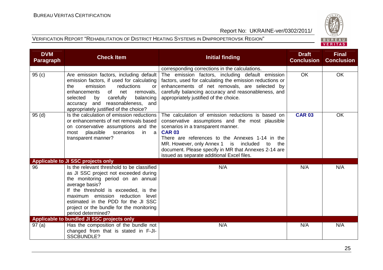



| <b>DVM</b><br><b>Paragraph</b> | <b>Check Item</b>                                                                                                                                                                                                                                                                                                                | <b>Initial finding</b>                                                                                                                                                                                                                                                                                                                                                   | <b>Draft</b><br><b>Conclusion</b> | <b>Final</b><br><b>Conclusion</b> |
|--------------------------------|----------------------------------------------------------------------------------------------------------------------------------------------------------------------------------------------------------------------------------------------------------------------------------------------------------------------------------|--------------------------------------------------------------------------------------------------------------------------------------------------------------------------------------------------------------------------------------------------------------------------------------------------------------------------------------------------------------------------|-----------------------------------|-----------------------------------|
|                                |                                                                                                                                                                                                                                                                                                                                  | corresponding corrections in the calculations.                                                                                                                                                                                                                                                                                                                           |                                   |                                   |
| 95(c)                          | Are emission factors, including default<br>emission factors, if used for calculating<br>emission<br>reductions<br>the<br><b>or</b><br>of<br>enhancements<br>net<br>removals,<br>carefully<br>selected<br>balancing<br>by<br>and reasonableness, and<br>accuracy<br>appropriately justified of the choice?                        | The emission factors, including default emission<br>factors, used for calculating the emission reductions or<br>enhancements of net removals, are selected by<br>carefully balancing accuracy and reasonableness, and<br>appropriately justified of the choice.                                                                                                          | <b>OK</b>                         | OK                                |
| 95(d)                          | Is the calculation of emission reductions<br>or enhancements of net removals based<br>on conservative assumptions and the<br>plausible<br>scenarios<br>in.<br>most<br>- a<br>transparent manner?                                                                                                                                 | The calculation of emission reductions is based on<br>conservative assumptions and the most plausible<br>scenarios in a transparent manner.<br><b>CAR 03</b><br>There are references to the Annexes 1-14 in the<br>MR. However, only Annex 1 is included to<br>the<br>document. Please specify in MR that Annexes 2-14 are<br>issued as separate additional Excel files. | <b>CAR 03</b>                     | <b>OK</b>                         |
|                                | Applicable to JI SSC projects only                                                                                                                                                                                                                                                                                               |                                                                                                                                                                                                                                                                                                                                                                          |                                   |                                   |
| 96                             | Is the relevant threshold to be classified<br>as JI SSC project not exceeded during<br>the monitoring period on an annual<br>average basis?<br>If the threshold is exceeded, is the<br>maximum emission reduction level<br>estimated in the PDD for the JI SSC<br>project or the bundle for the monitoring<br>period determined? | N/A                                                                                                                                                                                                                                                                                                                                                                      | N/A                               | N/A                               |
|                                | Applicable to bundled JI SSC projects only                                                                                                                                                                                                                                                                                       |                                                                                                                                                                                                                                                                                                                                                                          |                                   |                                   |
| 97(a)                          | Has the composition of the bundle not<br>changed from that is stated in F-JI-<br><b>SSCBUNDLE?</b>                                                                                                                                                                                                                               | N/A                                                                                                                                                                                                                                                                                                                                                                      | N/A                               | N/A                               |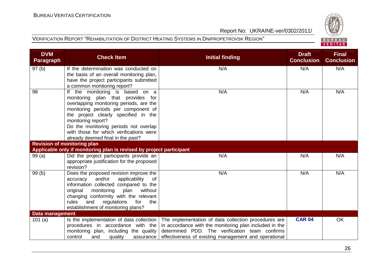



| <b>DVM</b><br><b>Paragraph</b> | <b>Check Item</b>                                                                                                                                                                                                                                                                                                                             | <b>Initial finding</b>                                                                                                                                                                                                   | <b>Draft</b><br><b>Conclusion</b> | <b>Final</b><br><b>Conclusion</b> |
|--------------------------------|-----------------------------------------------------------------------------------------------------------------------------------------------------------------------------------------------------------------------------------------------------------------------------------------------------------------------------------------------|--------------------------------------------------------------------------------------------------------------------------------------------------------------------------------------------------------------------------|-----------------------------------|-----------------------------------|
| 97(b)                          | If the determination was conducted on<br>the basis of an overall monitoring plan,<br>have the project participants submitted<br>a common monitoring report?                                                                                                                                                                                   | N/A                                                                                                                                                                                                                      | N/A                               | N/A                               |
| 98                             | If the monitoring is based on a<br>monitoring plan that provides for<br>overlapping monitoring periods, are the<br>monitoring periods per component of<br>the project clearly specified in the<br>monitoring report?<br>Do the monitoring periods not overlap<br>with those for which verifications were<br>already deemed final in the past? | N/A                                                                                                                                                                                                                      | N/A                               | N/A                               |
|                                | <b>Revision of monitoring plan</b>                                                                                                                                                                                                                                                                                                            |                                                                                                                                                                                                                          |                                   |                                   |
|                                | Applicable only if monitoring plan is revised by project participant                                                                                                                                                                                                                                                                          |                                                                                                                                                                                                                          |                                   |                                   |
| 99(a)                          | Did the project participants provide an<br>appropriate justification for the proposed<br>revision?                                                                                                                                                                                                                                            | N/A                                                                                                                                                                                                                      | N/A                               | N/A                               |
| 99(b)                          | Does the proposed revision improve the<br>accuracy and/or<br>applicability<br>of<br>information collected compared to the<br>original<br>monitoring<br>plan<br>without<br>changing conformity with the relevant<br>rules<br>and<br>regulations for<br>the<br>establishment of monitoring plans?                                               | N/A                                                                                                                                                                                                                      | N/A                               | N/A                               |
| <b>Data management</b>         |                                                                                                                                                                                                                                                                                                                                               |                                                                                                                                                                                                                          |                                   |                                   |
| 101(a)                         | Is the implementation of data collection<br>procedures in accordance with the<br>monitoring plan, including the quality<br>control<br>and<br>quality<br>assurance                                                                                                                                                                             | The implementation of data collection procedures are<br>in accordance with the monitoring plan included in the<br>determined PDD. The verification team confirms<br>effectiveness of existing management and operational | <b>CAR 04</b>                     | OK                                |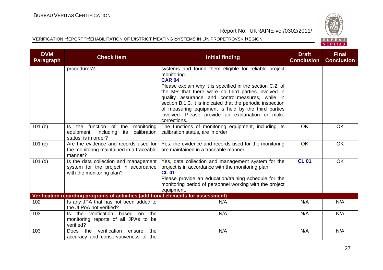

|  | $\tilde{\phantom{a}}$ |  |  |
|--|-----------------------|--|--|
|  | 'B U R E A U          |  |  |
|  | <b>VERITAS</b>        |  |  |

| <b>DVM</b><br><b>Paragraph</b> | <b>Check Item</b>                                                                                                    | <b>Initial finding</b>                                                                                                                                                                                                                                                                                                                                                                                                                                | <b>Draft</b><br><b>Conclusion</b> | <b>Final</b><br><b>Conclusion</b> |
|--------------------------------|----------------------------------------------------------------------------------------------------------------------|-------------------------------------------------------------------------------------------------------------------------------------------------------------------------------------------------------------------------------------------------------------------------------------------------------------------------------------------------------------------------------------------------------------------------------------------------------|-----------------------------------|-----------------------------------|
|                                | procedures?                                                                                                          | systems and found them eligible for reliable project<br>monitoring.<br><b>CAR 04</b><br>Please explain why it is specified in the section C.2. of<br>the MR that there were no third parties involved in<br>quality assurance and control measures, while in<br>section B.1.3. it is indicated that the periodic inspection<br>of measuring equipment is held by the third parties<br>involved. Please provide an explanation or make<br>corrections. |                                   |                                   |
| 101(b)                         | function of<br>the<br>the<br>monitoring<br>ls.<br>equipment, including<br>its<br>calibration<br>status, is in order? | The functions of monitoring equipment, including its<br>calibration status, are in order.                                                                                                                                                                                                                                                                                                                                                             | <b>OK</b>                         | OK                                |
| 101(c)                         | Are the evidence and records used for<br>the monitoring maintained in a traceable<br>manner?                         | Yes, the evidence and records used for the monitoring<br>are maintained in a traceable manner.                                                                                                                                                                                                                                                                                                                                                        | OK                                | OK                                |
| $101$ (d)                      | Is the data collection and management<br>system for the project in accordance<br>with the monitoring plan?           | Yes, data collection and management system for the<br>project is in accordance with the monitoring plan<br><b>CL 01</b><br>Please provide an education/training schedule for the<br>monitoring period of personnel working with the project<br>equipment.                                                                                                                                                                                             | <b>CL 01</b>                      | OK                                |
|                                | Verification regarding programs of activities (additional elements for assessment)                                   |                                                                                                                                                                                                                                                                                                                                                                                                                                                       |                                   |                                   |
| 102                            | Is any JPA that has not been added to<br>the JI PoA not verified?                                                    | N/A                                                                                                                                                                                                                                                                                                                                                                                                                                                   | N/A                               | N/A                               |
| 103                            | Is the verification based on<br>the<br>monitoring reports of all JPAs to be<br>verified?                             | N/A                                                                                                                                                                                                                                                                                                                                                                                                                                                   | N/A                               | N/A                               |
| 103                            | verification<br>the<br>the<br>ensure<br>Does<br>accuracy and conservativeness of the                                 | N/A                                                                                                                                                                                                                                                                                                                                                                                                                                                   | N/A                               | N/A                               |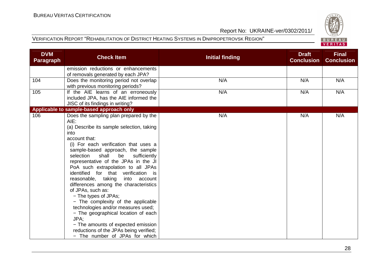



| <b>DVM</b><br><b>Paragraph</b> | <b>Check Item</b>                                                                                                                                                                                                                                                                                                                                                                                                                                                                                                                                                                                                                                                                                                                            | <b>Initial finding</b> | <b>Draft</b><br><b>Conclusion</b> | <b>Final</b><br><b>Conclusion</b> |
|--------------------------------|----------------------------------------------------------------------------------------------------------------------------------------------------------------------------------------------------------------------------------------------------------------------------------------------------------------------------------------------------------------------------------------------------------------------------------------------------------------------------------------------------------------------------------------------------------------------------------------------------------------------------------------------------------------------------------------------------------------------------------------------|------------------------|-----------------------------------|-----------------------------------|
|                                | emission reductions or enhancements<br>of removals generated by each JPA?                                                                                                                                                                                                                                                                                                                                                                                                                                                                                                                                                                                                                                                                    |                        |                                   |                                   |
| 104                            | Does the monitoring period not overlap<br>with previous monitoring periods?                                                                                                                                                                                                                                                                                                                                                                                                                                                                                                                                                                                                                                                                  | N/A                    | N/A                               | N/A                               |
| 105                            | If the AIE learns of an erroneously<br>included JPA, has the AIE informed the<br>JISC of its findings in writing?                                                                                                                                                                                                                                                                                                                                                                                                                                                                                                                                                                                                                            | N/A                    | N/A                               | N/A                               |
|                                | Applicable to sample-based approach only                                                                                                                                                                                                                                                                                                                                                                                                                                                                                                                                                                                                                                                                                                     |                        |                                   |                                   |
| 106                            | Does the sampling plan prepared by the<br>AIE:<br>(a) Describe its sample selection, taking<br>into<br>account that:<br>(i) For each verification that uses a<br>sample-based approach, the sample<br>shall<br>be<br>selection<br>sufficiently<br>representative of the JPAs in the JI<br>PoA such extrapolation to all JPAs<br>identified for that verification is<br>reasonable, taking<br>into account<br>differences among the characteristics<br>of JPAs, such as:<br>- The types of JPAs;<br>- The complexity of the applicable<br>technologies and/or measures used;<br>- The geographical location of each<br>JPA:<br>- The amounts of expected emission<br>reductions of the JPAs being verified;<br>- The number of JPAs for which | N/A                    | N/A                               | N/A                               |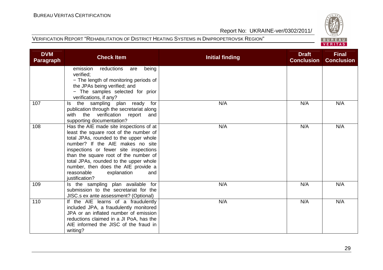

|  |  | FRIT |  |  |  |
|--|--|------|--|--|--|

| <b>DVM</b><br><b>Paragraph</b> | <b>Check Item</b>                                                                                                                                                                                                                                                                                                                                                                        | <b>Initial finding</b> | <b>Draft</b><br><b>Conclusion</b> | <b>Final</b><br><b>Conclusion</b> |
|--------------------------------|------------------------------------------------------------------------------------------------------------------------------------------------------------------------------------------------------------------------------------------------------------------------------------------------------------------------------------------------------------------------------------------|------------------------|-----------------------------------|-----------------------------------|
|                                | reductions<br>emission<br>being<br>are<br>verified;<br>- The length of monitoring periods of<br>the JPAs being verified; and<br>- The samples selected for prior<br>verifications, if any?                                                                                                                                                                                               |                        |                                   |                                   |
| 107                            | the sampling plan ready<br>for<br>ls.<br>publication through the secretariat along<br>with the verification report<br>and<br>supporting documentation?                                                                                                                                                                                                                                   | N/A                    | N/A                               | N/A                               |
| 108                            | Has the AIE made site inspections of at<br>least the square root of the number of<br>total JPAs, rounded to the upper whole<br>number? If the AIE makes no site<br>inspections or fewer site inspections<br>than the square root of the number of<br>total JPAs, rounded to the upper whole<br>number, then does the AIE provide a<br>reasonable<br>explanation<br>and<br>justification? | N/A                    | N/A                               | N/A                               |
| 109                            | Is the sampling plan available for<br>submission to the secretariat for the<br>JISC.s ex ante assessment? (Optional)                                                                                                                                                                                                                                                                     | N/A                    | N/A                               | N/A                               |
| 110                            | If the AIE learns of a fraudulently<br>included JPA, a fraudulently monitored<br>JPA or an inflated number of emission<br>reductions claimed in a JI PoA, has the<br>AIE informed the JISC of the fraud in<br>writing?                                                                                                                                                                   | N/A                    | N/A                               | N/A                               |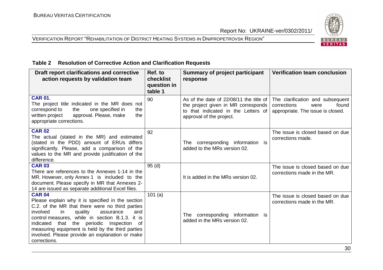# VERIFICATION REPORT "REHABILITATION OF DISTRICT HEATING SYSTEMS IN DNIPROPETROVSK REGION"



#### **Table 2 Resolution of Corrective Action and Clarification Requests**

| Draft report clarifications and corrective<br>action requests by validation team                                                                                                                                                                                                                                                                                                                    | Ref. to<br>checklist<br>question in<br>table 1 | <b>Summary of project participant</b><br>response                                                                                                 | <b>Verification team conclusion</b>                                                                   |
|-----------------------------------------------------------------------------------------------------------------------------------------------------------------------------------------------------------------------------------------------------------------------------------------------------------------------------------------------------------------------------------------------------|------------------------------------------------|---------------------------------------------------------------------------------------------------------------------------------------------------|-------------------------------------------------------------------------------------------------------|
| <b>CAR 01.</b><br>The project title indicated in the MR does not<br>correspond to<br>one specified in<br>the<br>the<br>approval. Please, make<br>written project<br>the<br>appropriate corrections.                                                                                                                                                                                                 | 90                                             | As of the date of 22/08/11 the title of<br>the project given in MR corresponds<br>to that indicated in the Letters of<br>approval of the project. | The clarification and subsequent<br>found<br>corrections<br>were<br>appropriate. The issue is closed. |
| <b>CAR 02</b><br>The actual (stated in the MR) and estimated<br>(stated in the PDD) amount of ERUs differs<br>significantly. Please, add a comparison of the<br>values to the MR and provide justification of the<br>difference.                                                                                                                                                                    | 92                                             | The corresponding information is<br>added to the MRs version 02.                                                                                  | The issue is closed based on due<br>corrections made.                                                 |
| <b>CAR 03</b><br>There are references to the Annexes 1-14 in the<br>MR. However, only Annex 1 is included to the<br>document. Please specify in MR that Annexes 2-<br>14 are issued as separate additional Excel files.                                                                                                                                                                             | 95(d)                                          | It is added in the MRs version 02.                                                                                                                | The issue is closed based on due<br>corrections made in the MR.                                       |
| <b>CAR 04</b><br>Please explain why it is specified in the section<br>C.2. of the MR that there were no third parties<br>involved<br>in<br>quality<br>assurance<br>and<br>control measures, while in section B.1.3. it is<br>that the periodic inspection<br>indicated<br>of<br>measuring equipment is held by the third parties<br>involved. Please provide an explanation or make<br>corrections. | 101(a)                                         | The corresponding information is<br>added in the MRs version 02.                                                                                  | The issue is closed based on due<br>corrections made in the MR.                                       |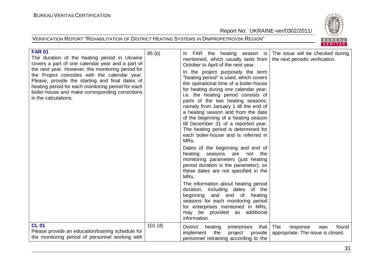

| <b>FAR 01</b><br>The duration of the heating period in Ukraine<br>covers a part of one calendar year and a part of<br>the next year. However, the monitoring period for<br>the Project coincides with the calendar year.<br>Please, provide the starting and final dates of<br>heating period for each monitoring period for each<br>boiler-house and make corresponding corrections<br>in the calculations.<br><b>CL 01</b> | 95(b)     | In FAR the heating season is The issue will be checked during<br>mentioned, which usually lasts from<br>October to April of the next year.<br>In the project purposely the term<br>"heating period" is used, which covers<br>the operational time of a boiler-house<br>for heating during one calendar year,<br>i.e. the heating period consists of<br>parts of the two heating seasons,<br>namely from January 1 till the end of<br>a heating season and from the date<br>of the beginning of a heating season<br>till December 31 of a reported year.<br>The heating period is determined for<br>each boiler-house and is referred in<br>MRs.<br>Dates of the beginning and end of<br>heating seasons are<br>not the<br>monitoring parameters (just heating<br>period duration is the parameter), so<br>these dates are not specified in the<br>MRs.<br>The information about heating period<br>duration, including dates of the<br>beginning<br>and end of<br>heating<br>seasons for each monitoring period<br>for enterprises mentioned in MRs,<br>may be provided as additional<br>information. | the next periodic verification.                               |
|------------------------------------------------------------------------------------------------------------------------------------------------------------------------------------------------------------------------------------------------------------------------------------------------------------------------------------------------------------------------------------------------------------------------------|-----------|------------------------------------------------------------------------------------------------------------------------------------------------------------------------------------------------------------------------------------------------------------------------------------------------------------------------------------------------------------------------------------------------------------------------------------------------------------------------------------------------------------------------------------------------------------------------------------------------------------------------------------------------------------------------------------------------------------------------------------------------------------------------------------------------------------------------------------------------------------------------------------------------------------------------------------------------------------------------------------------------------------------------------------------------------------------------------------------------------|---------------------------------------------------------------|
| Please provide an education/training schedule for<br>the monitoring period of personnel working with                                                                                                                                                                                                                                                                                                                         | $101$ (d) | heating<br>that   The<br><b>District</b><br>enterprises<br>implement<br>the<br>project<br>provide  <br>personnel retraining according to the                                                                                                                                                                                                                                                                                                                                                                                                                                                                                                                                                                                                                                                                                                                                                                                                                                                                                                                                                         | found<br>response<br>was<br>appropriate. The issue is closed. |